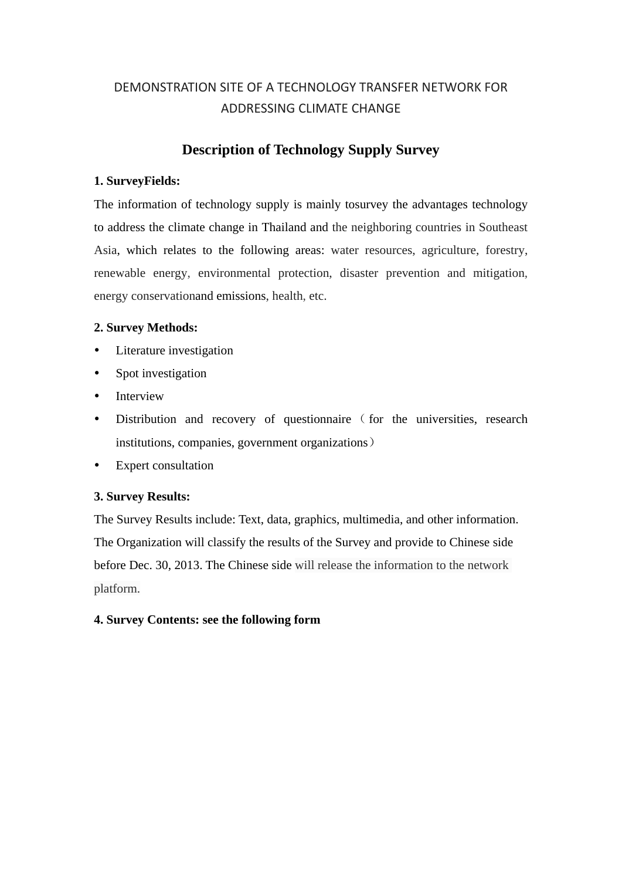# DEMONSTRATION SITE OF A TECHNOLOGY TRANSFER NETWORK FOR ADDRESSING CLIMATE CHANGE

# **Description of Technology Supply Survey**

## **1. SurveyFields:**

The information of technology supply is mainly tosurvey the advantages technology to address the climate change in Thailand and the neighboring countries in Southeast Asia, which relates to the following areas: water resources, agriculture, forestry, renewable energy, environmental protection, disaster prevention and mitigation, energy conservationand emissions, health, etc.

## **2. Survey Methods:**

- Literature investigation
- Spot investigation
- Interview
- Distribution and recovery of questionnaire (for the universities, research institutions, companies, government organizations)
- Expert consultation

## **3. Survey Results:**

The Survey Results include: Text, data, graphics, multimedia, and other information. The Organization will classify the results of the Survey and provide to Chinese side before Dec. 30, 2013. The Chinese side will release the information to the network platform.

## **4. Survey Contents: see the following form**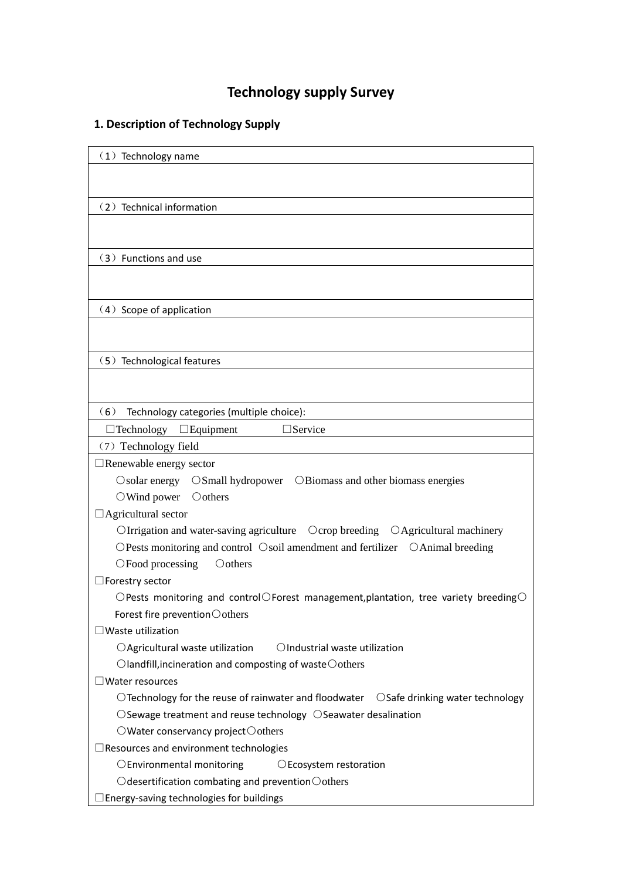# **Technology supply Survey**

# **1. Description of Technology Supply**

| $(1)$ Technology name                                                                                              |
|--------------------------------------------------------------------------------------------------------------------|
|                                                                                                                    |
|                                                                                                                    |
|                                                                                                                    |
| (2) Technical information                                                                                          |
|                                                                                                                    |
|                                                                                                                    |
| (3) Functions and use                                                                                              |
|                                                                                                                    |
|                                                                                                                    |
| (4) Scope of application                                                                                           |
|                                                                                                                    |
|                                                                                                                    |
| (5) Technological features                                                                                         |
|                                                                                                                    |
|                                                                                                                    |
| (6)<br>Technology categories (multiple choice):                                                                    |
| $\square$ Service<br>$\Box$ Technology $\Box$ Equipment                                                            |
| (7) Technology field                                                                                               |
| Renewable energy sector                                                                                            |
| $\circ$ Solar energy<br>OSmall hydropower OBiomass and other biomass energies                                      |
| $\bigcirc$ Wind power<br>$\bigcirc$ others                                                                         |
| Agricultural sector                                                                                                |
| OIrrigation and water-saving agriculture  Ocrop breeding  OAgricultural machinery                                  |
| OPests monitoring and control Osoil amendment and fertilizer OAnimal breeding                                      |
| OFood processing<br>$\bigcirc$ others                                                                              |
| Forestry sector                                                                                                    |
| $\bigcirc$ Pests monitoring and control $\bigcirc$ Forest management, plantation, tree variety breeding $\bigcirc$ |
| Forest fire prevention $\bigcirc$ others                                                                           |
| Waste utilization                                                                                                  |
| OAgricultural waste utilization<br>OIndustrial waste utilization                                                   |
| $\bigcirc$ landfill, incineration and composting of waste $\bigcirc$ others                                        |
| $\exists$ Water resources                                                                                          |
| $\bigcirc$ Technology for the reuse of rainwater and floodwater $\bigcirc$ Safe drinking water technology          |
| $\bigcirc$ Sewage treatment and reuse technology $\bigcirc$ Seawater desalination                                  |
| $\bigcirc$ Water conservancy project $\bigcirc$ others                                                             |
| Resources and environment technologies                                                                             |
| OEnvironmental monitoring<br>OEcosystem restoration                                                                |
| $\bigcirc$ desertification combating and prevention $\bigcirc$ others                                              |
| Energy-saving technologies for buildings                                                                           |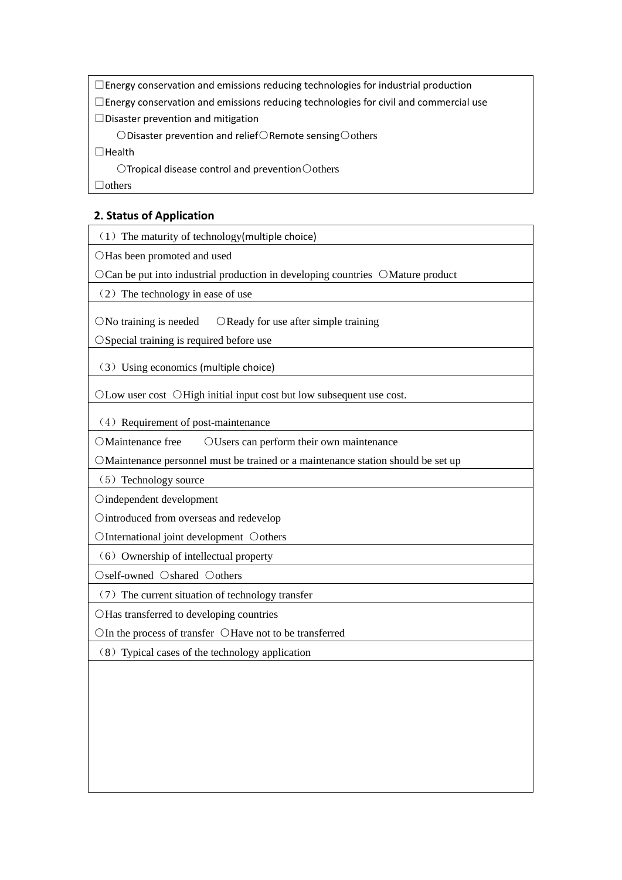□Energy conservation and emissions reducing technologies for industrial production

 $\Box$ Energy conservation and emissions reducing technologies for civil and commercial use

□Disaster prevention and mitigation

○Disaster prevention and relief○Remote sensing○others

□Health

○Tropical disease control and prevention○others

□others

## **2. Status of Application**

 $(1)$  The maturity of technology(multiple choice)

○Has been promoted and used

○Can be put into industrial production in developing countries ○Mature product

 $(2)$  The technology in ease of use

○No training is needed ○Ready for use after simple training

○Special training is required before use

(3)Using economics (multiple choice)

○Low user cost ○High initial input cost but low subsequent use cost.

(4) Requirement of post-maintenance

OMaintenance free OUsers can perform their own maintenance

○Maintenance personnel must be trained or a maintenance station should be set up

(5) Technology source

○independent development

○introduced from overseas and redevelop

○International joint development ○others

 $(6)$  Ownership of intellectual property

○self-owned ○shared ○others

(7)The current situation of technology transfer

○Has transferred to developing countries

○In the process of transfer ○Have not to be transferred

(8)Typical cases of the technology application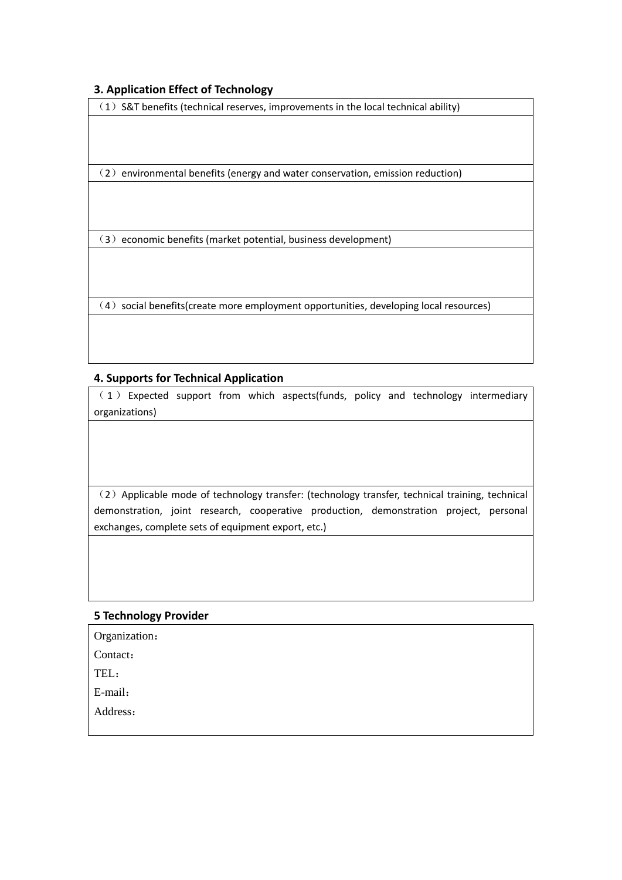### **3. Application Effect of Technology**

 $(1)$  S&T benefits (technical reserves, improvements in the local technical ability)

(2) environmental benefits (energy and water conservation, emission reduction)

(3) economic benefits (market potential, business development)

(4) social benefits(create more employment opportunities, developing local resources)

### **4. Supports for Technical Application**

( 1 ) Expected support from which aspects(funds, policy and technology intermediary organizations)

(2)Applicable mode of technology transfer: (technology transfer, technical training, technical demonstration, joint research, cooperative production, demonstration project, personal exchanges, complete sets of equipment export, etc.)

#### **5 Technology Provider**

Organization:

Contact:

TEL:

E-mail:

Address: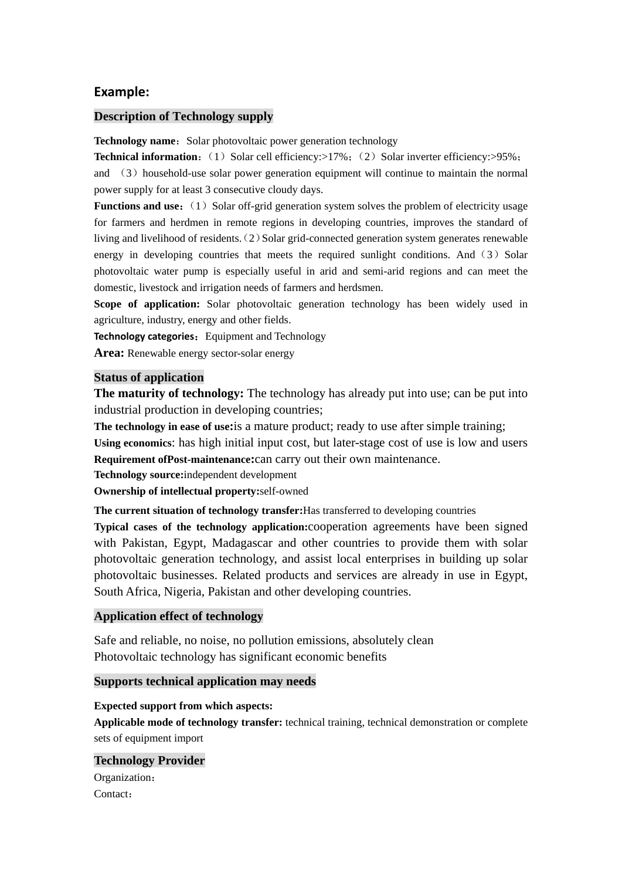#### **Example:**

#### **Description of Technology supply**

**Technology name:** Solar photovoltaic power generation technology

**Technical information:** (1) Solar cell efficiency: $>17\%$ ; (2) Solar inverter efficiency: $>95\%$ ; and  $(3)$  household-use solar power generation equipment will continue to maintain the normal power supply for at least 3 consecutive cloudy days.

**Functions and use:** (1) Solar off-grid generation system solves the problem of electricity usage for farmers and herdmen in remote regions in developing countries, improves the standard of living and livelihood of residents. (2) Solar grid-connected generation system generates renewable energy in developing countries that meets the required sunlight conditions. And  $(3)$  Solar photovoltaic water pump is especially useful in arid and semi-arid regions and can meet the domestic, livestock and irrigation needs of farmers and herdsmen.

**Scope of application:** Solar photovoltaic generation technology has been widely used in agriculture, industry, energy and other fields.

**Technology categories:** Equipment and Technology

**Area:** Renewable energy sector-solar energy

#### **Status of application**

**The maturity of technology:** The technology has already put into use; can be put into industrial production in developing countries;

**The technology in ease of use:**is a mature product; ready to use after simple training;

**Using economics**: has high initial input cost, but later-stage cost of use is low and users **Requirement ofPost-maintenance:**can carry out their own maintenance.

**Technology source:**independent development

**Ownership of intellectual property:**self-owned

**The current situation of technology transfer:**Has transferred to developing countries

**Typical cases of the technology application:**cooperation agreements have been signed with Pakistan, Egypt, Madagascar and other countries to provide them with solar photovoltaic generation technology, and assist local enterprises in building up solar photovoltaic businesses. Related products and services are already in use in Egypt, South Africa, Nigeria, Pakistan and other developing countries.

#### **Application effect of technology**

Safe and reliable, no noise, no pollution emissions, absolutely clean Photovoltaic technology has significant economic benefits

#### **Supports technical application may needs**

#### **Expected support from which aspects:**

**Applicable mode of technology transfer:** technical training, technical demonstration or complete sets of equipment import

#### **Technology Provider**

Organization: Contact: